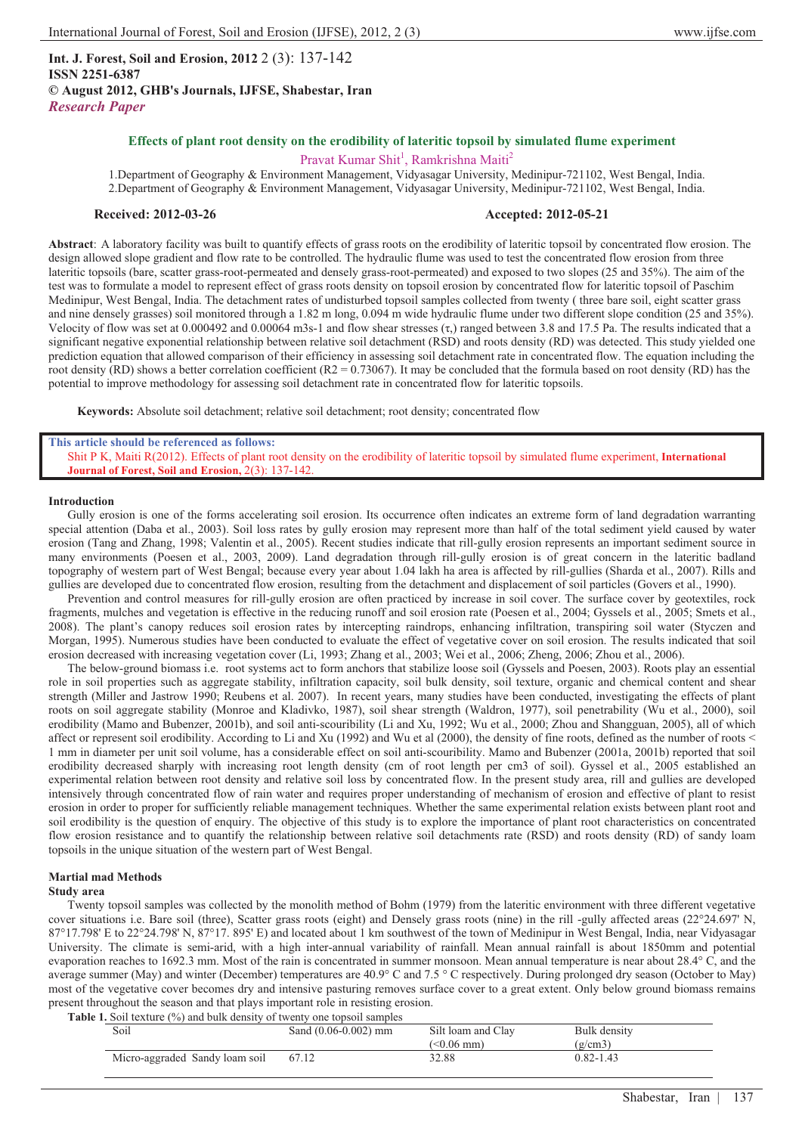## **Effects of plant root density on the erodibility of lateritic topsoil by simulated flume experiment**

# Pravat Kumar Shit<sup>1</sup>, Ramkrishna Maiti<sup>2</sup>

1.Department of Geography & Environment Management, Vidyasagar University, Medinipur-721102, West Bengal, India. 2.Department of Geography & Environment Management, Vidyasagar University, Medinipur-721102, West Bengal, India.

### **Received: 2012-03-26 Accepted: 2012-05-21**

**Abstract**: A laboratory facility was built to quantify effects of grass roots on the erodibility of lateritic topsoil by concentrated flow erosion. The design allowed slope gradient and flow rate to be controlled. The hydraulic flume was used to test the concentrated flow erosion from three lateritic topsoils (bare, scatter grass-root-permeated and densely grass-root-permeated) and exposed to two slopes (25 and 35%). The aim of the test was to formulate a model to represent effect of grass roots density on topsoil erosion by concentrated flow for lateritic topsoil of Paschim Medinipur, West Bengal, India. The detachment rates of undisturbed topsoil samples collected from twenty ( three bare soil, eight scatter grass and nine densely grasses) soil monitored through a 1.82 m long, 0.094 m wide hydraulic flume under two different slope condition (25 and 35%). Velocity of flow was set at  $0.000492$  and  $0.00064$  m3s-1 and flow shear stresses  $(\tau)$  ranged between 3.8 and 17.5 Pa. The results indicated that a significant negative exponential relationship between relative soil detachment (RSD) and roots density (RD) was detected. This study yielded one prediction equation that allowed comparison of their efficiency in assessing soil detachment rate in concentrated flow. The equation including the root density (RD) shows a better correlation coefficient ( $R2 = 0.73067$ ). It may be concluded that the formula based on root density (RD) has the potential to improve methodology for assessing soil detachment rate in concentrated flow for lateritic topsoils.

**Keywords:** Absolute soil detachment; relative soil detachment; root density; concentrated flow

#### **This article should be referenced as follows:**

Shit P K, Maiti R(2012). Effects of plant root density on the erodibility of lateritic topsoil by simulated flume experiment, **International Journal of Forest, Soil and Erosion,** 2(3): 137-142.

#### **Introduction**

Gully erosion is one of the forms accelerating soil erosion. Its occurrence often indicates an extreme form of land degradation warranting special attention (Daba et al., 2003). Soil loss rates by gully erosion may represent more than half of the total sediment yield caused by water erosion (Tang and Zhang, 1998; Valentin et al., 2005). Recent studies indicate that rill-gully erosion represents an important sediment source in many environments (Poesen et al., 2003, 2009). Land degradation through rill-gully erosion is of great concern in the lateritic badland topography of western part of West Bengal; because every year about 1.04 lakh ha area is affected by rill-gullies (Sharda et al., 2007). Rills and gullies are developed due to concentrated flow erosion, resulting from the detachment and displacement of soil particles (Govers et al., 1990).

Prevention and control measures for rill-gully erosion are often practiced by increase in soil cover. The surface cover by geotextiles, rock fragments, mulches and vegetation is effective in the reducing runoff and soil erosion rate (Poesen et al., 2004; Gyssels et al., 2005; Smets et al., 2008). The plant's canopy reduces soil erosion rates by intercepting raindrops, enhancing infiltration, transpiring soil water (Styczen and Morgan, 1995). Numerous studies have been conducted to evaluate the effect of vegetative cover on soil erosion. The results indicated that soil erosion decreased with increasing vegetation cover (Li, 1993; Zhang et al., 2003; Wei et al., 2006; Zheng, 2006; Zhou et al., 2006).

The below-ground biomass i.e. root systems act to form anchors that stabilize loose soil (Gyssels and Poesen, 2003). Roots play an essential role in soil properties such as aggregate stability, infiltration capacity, soil bulk density, soil texture, organic and chemical content and shear strength (Miller and Jastrow 1990; Reubens et al. 2007). In recent years, many studies have been conducted, investigating the effects of plant roots on soil aggregate stability (Monroe and Kladivko, 1987), soil shear strength (Waldron, 1977), soil penetrability (Wu et al., 2000), soil erodibility (Mamo and Bubenzer, 2001b), and soil anti-scouribility (Li and Xu, 1992; Wu et al., 2000; Zhou and Shangguan, 2005), all of which affect or represent soil erodibility. According to Li and Xu (1992) and Wu et al (2000), the density of fine roots, defined as the number of roots < 1 mm in diameter per unit soil volume, has a considerable effect on soil anti-scouribility. Mamo and Bubenzer (2001a, 2001b) reported that soil erodibility decreased sharply with increasing root length density (cm of root length per cm3 of soil). Gyssel et al., 2005 established an experimental relation between root density and relative soil loss by concentrated flow. In the present study area, rill and gullies are developed intensively through concentrated flow of rain water and requires proper understanding of mechanism of erosion and effective of plant to resist erosion in order to proper for sufficiently reliable management techniques. Whether the same experimental relation exists between plant root and soil erodibility is the question of enquiry. The objective of this study is to explore the importance of plant root characteristics on concentrated flow erosion resistance and to quantify the relationship between relative soil detachments rate (RSD) and roots density (RD) of sandy loam topsoils in the unique situation of the western part of West Bengal.

### **Martial mad Methods**

#### **Study area**

Twenty topsoil samples was collected by the monolith method of Bohm (1979) from the lateritic environment with three different vegetative cover situations i.e. Bare soil (three), Scatter grass roots (eight) and Densely grass roots (nine) in the rill -gully affected areas (22°24.697' N, 87°17.798' E to 22°24.798' N, 87°17. 895' E) and located about 1 km southwest of the town of Medinipur in West Bengal, India, near Vidyasagar University. The climate is semi-arid, with a high inter-annual variability of rainfall. Mean annual rainfall is about 1850mm and potential evaporation reaches to 1692.3 mm. Most of the rain is concentrated in summer monsoon. Mean annual temperature is near about 28.4° C, and the average summer (May) and winter (December) temperatures are 40.9° C and 7.5 ° C respectively. During prolonged dry season (October to May) most of the vegetative cover becomes dry and intensive pasturing removes surface cover to a great extent. Only below ground biomass remains present throughout the season and that plays important role in resisting erosion.

| <b>Table 1.</b> Soil texture (%) and bulk density of twenty one topsoil samples |  |  |
|---------------------------------------------------------------------------------|--|--|
|                                                                                 |  |  |

| Soil                           | Sand $(0.06-0.002)$ mm | Silt loam and Clay | Bulk density |  |
|--------------------------------|------------------------|--------------------|--------------|--|
|                                |                        | $\leq 0.06$ mm)    | (g/cm3)      |  |
| Micro-aggraded Sandy loam soil | 67.12                  | 32.88              | 0.82-1.43    |  |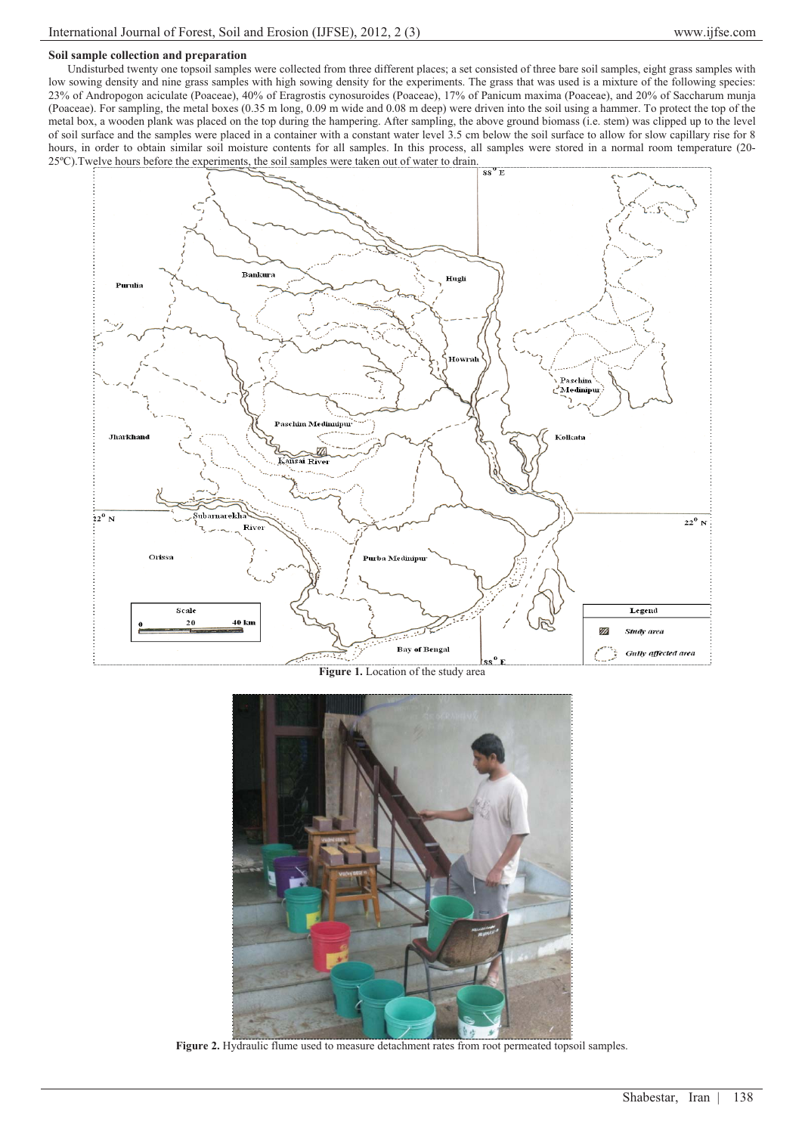#### **Soil sample collection and preparation**

Undisturbed twenty one topsoil samples were collected from three different places; a set consisted of three bare soil samples, eight grass samples with low sowing density and nine grass samples with high sowing density for the experiments. The grass that was used is a mixture of the following species: 23% of Andropogon aciculate (Poaceae), 40% of Eragrostis cynosuroides (Poaceae), 17% of Panicum maxima (Poaceae), and 20% of Saccharum munja (Poaceae). For sampling, the metal boxes (0.35 m long, 0.09 m wide and 0.08 m deep) were driven into the soil using a hammer. To protect the top of the metal box, a wooden plank was placed on the top during the hampering. After sampling, the above ground biomass (i.e. stem) was clipped up to the level of soil surface and the samples were placed in a container with a constant water level 3.5 cm below the soil surface to allow for slow capillary rise for 8 hours, in order to obtain similar soil moisture contents for all samples. In this process, all samples were stored in a normal room temperature (20- 25ºC).Twelve hours before the experiments, the soil samples were taken out of water to drain.



**Figure 1.** Location of the study area



**Figure 2.** Hydraulic flume used to measure detachment rates from root permeated topsoil samples.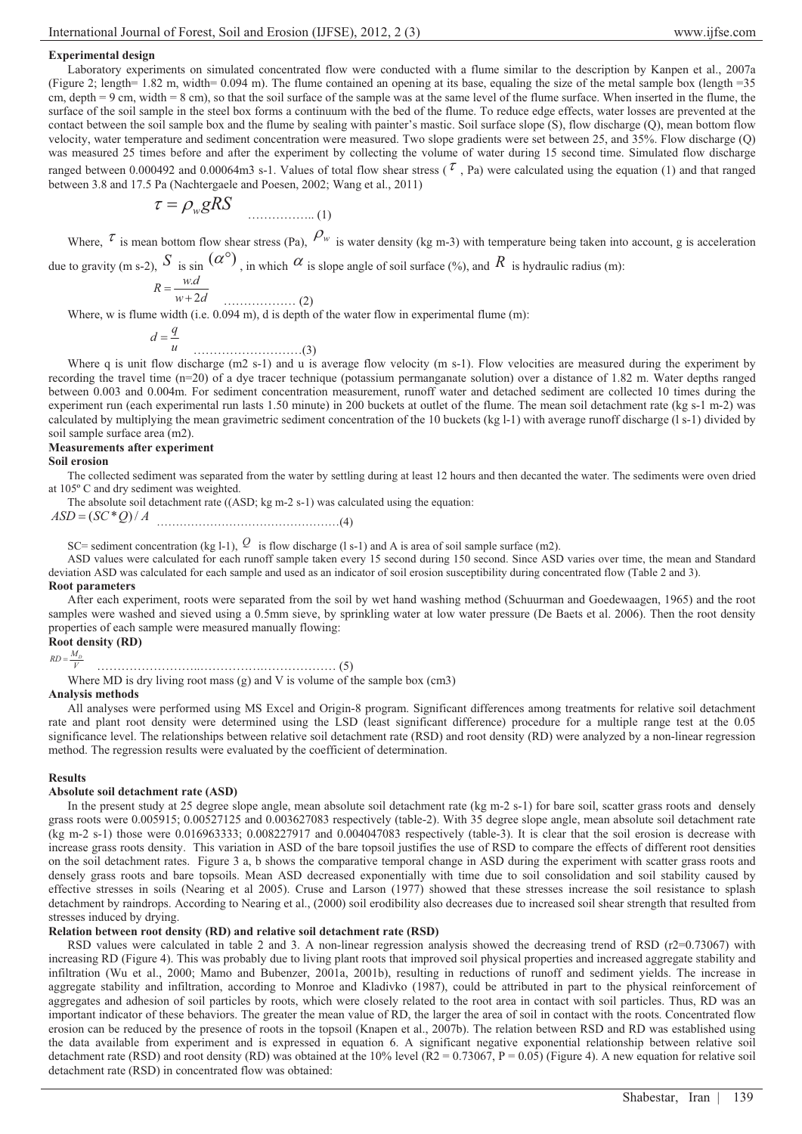#### **Experimental design**

Laboratory experiments on simulated concentrated flow were conducted with a flume similar to the description by Kanpen et al., 2007a (Figure 2; length=  $1.82$  m, width= 0.094 m). The flume contained an opening at its base, equaling the size of the metal sample box (length =35 cm, depth  $= 9$  cm, width  $= 8$  cm), so that the soil surface of the sample was at the same level of the flume surface. When inserted in the flume, the surface of the soil sample in the steel box forms a continuum with the bed of the flume. To reduce edge effects, water losses are prevented at the contact between the soil sample box and the flume by sealing with painter's mastic. Soil surface slope (S), flow discharge (Q), mean bottom flow velocity, water temperature and sediment concentration were measured. Two slope gradients were set between 25, and 35%. Flow discharge (Q) was measured 25 times before and after the experiment by collecting the volume of water during 15 second time. Simulated flow discharge ranged between 0.000492 and 0.00064m3 s-1. Values of total flow shear stress ( $\tau$ , Pa) were calculated using the equation (1) and that ranged between 3.8 and 17.5 Pa (Nachtergaele and Poesen, 2002; Wang et al., 2011)

$$
\tau = \rho_w gRS
$$
 (1)

Where,  $\tau$  is mean bottom flow shear stress (Pa),  $\rho_w$  is water density (kg m-3) with temperature being taken into account, g is acceleration

due to gravity (m s-2),  $S$  is sin  $(\alpha^{\circ})$ , in which  $\alpha$  is slope angle of soil surface (%), and  $R$  is hydraulic radius (m):

$$
R = \frac{w.d}{w + 2d}
$$

Where, w is flume width (i.e. 0.094 m), d is depth of the water flow in experimental flume (m):

*w d* ……………… (2)

$$
d = \frac{q}{u}
$$

 ………………………(3) Where q is unit flow discharge (m2 s-1) and u is average flow velocity (m s-1). Flow velocities are measured during the experiment by recording the travel time (n=20) of a dye tracer technique (potassium permanganate solution) over a distance of 1.82 m. Water depths ranged between 0.003 and 0.004m. For sediment concentration measurement, runoff water and detached sediment are collected 10 times during the experiment run (each experimental run lasts 1.50 minute) in 200 buckets at outlet of the flume. The mean soil detachment rate (kg s-1 m-2) was calculated by multiplying the mean gravimetric sediment concentration of the 10 buckets (kg l-1) with average runoff discharge (l s-1) divided by soil sample surface area (m2).

# **Measurements after experiment**

**Soil erosion** 

The collected sediment was separated from the water by settling during at least 12 hours and then decanted the water. The sediments were oven dried at 105º C and dry sediment was weighted.

The absolute soil detachment rate ((ASD; kg m-2 s-1) was calculated using the equation: *ASD SC Q A* ( \* )/ …………………………………………(4)

SC= sediment concentration (kg l-1),  $Q$  is flow discharge (l s-1) and A is area of soil sample surface (m2).

ASD values were calculated for each runoff sample taken every 15 second during 150 second. Since ASD varies over time, the mean and Standard deviation ASD was calculated for each sample and used as an indicator of soil erosion susceptibility during concentrated flow (Table 2 and 3).

### **Root parameters**

After each experiment, roots were separated from the soil by wet hand washing method (Schuurman and Goedewaagen, 1965) and the root samples were washed and sieved using a 0.5mm sieve, by sprinkling water at low water pressure (De Baets et al. 2006). Then the root density properties of each sample were measured manually flowing:

# **Root density (RD)**  $RD = \frac{M_D}{V}$

……………………..…………….……………… (5)

Where MD is dry living root mass  $(g)$  and V is volume of the sample box  $(cm3)$ 

#### **Analysis methods**

All analyses were performed using MS Excel and Origin-8 program. Significant differences among treatments for relative soil detachment rate and plant root density were determined using the LSD (least significant difference) procedure for a multiple range test at the 0.05 significance level. The relationships between relative soil detachment rate (RSD) and root density (RD) were analyzed by a non-linear regression method. The regression results were evaluated by the coefficient of determination.

#### **Results**

## **Absolute soil detachment rate (ASD)**

In the present study at 25 degree slope angle, mean absolute soil detachment rate (kg m-2 s-1) for bare soil, scatter grass roots and densely grass roots were 0.005915; 0.00527125 and 0.003627083 respectively (table-2). With 35 degree slope angle, mean absolute soil detachment rate (kg m-2 s-1) those were 0.016963333; 0.008227917 and 0.004047083 respectively (table-3). It is clear that the soil erosion is decrease with increase grass roots density. This variation in ASD of the bare topsoil justifies the use of RSD to compare the effects of different root densities on the soil detachment rates. Figure 3 a, b shows the comparative temporal change in ASD during the experiment with scatter grass roots and densely grass roots and bare topsoils. Mean ASD decreased exponentially with time due to soil consolidation and soil stability caused by effective stresses in soils (Nearing et al 2005). Cruse and Larson (1977) showed that these stresses increase the soil resistance to splash detachment by raindrops. According to Nearing et al., (2000) soil erodibility also decreases due to increased soil shear strength that resulted from stresses induced by drying.

#### **Relation between root density (RD) and relative soil detachment rate (RSD)**

RSD values were calculated in table 2 and 3. A non-linear regression analysis showed the decreasing trend of RSD (r2=0.73067) with increasing RD (Figure 4). This was probably due to living plant roots that improved soil physical properties and increased aggregate stability and infiltration (Wu et al., 2000; Mamo and Bubenzer, 2001a, 2001b), resulting in reductions of runoff and sediment yields. The increase in aggregate stability and infiltration, according to Monroe and Kladivko (1987), could be attributed in part to the physical reinforcement of aggregates and adhesion of soil particles by roots, which were closely related to the root area in contact with soil particles. Thus, RD was an important indicator of these behaviors. The greater the mean value of RD, the larger the area of soil in contact with the roots. Concentrated flow erosion can be reduced by the presence of roots in the topsoil (Knapen et al., 2007b). The relation between RSD and RD was established using the data available from experiment and is expressed in equation 6. A significant negative exponential relationship between relative soil detachment rate (RSD) and root density (RD) was obtained at the 10% level (R2 = 0.73067, P = 0.05) (Figure 4). A new equation for relative soil detachment rate (RSD) in concentrated flow was obtained: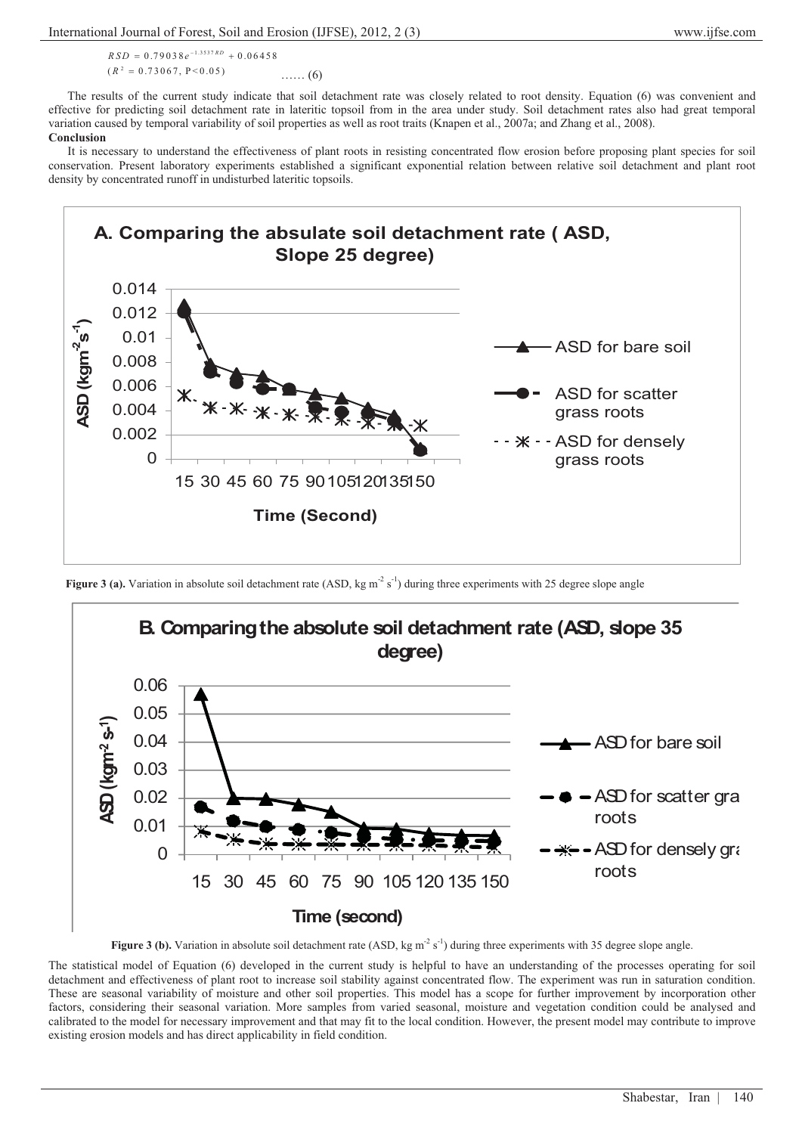$RSD = 0.79038 e^{-1.3537RD} + 0.06458$ 2 ( 0.73067, P<0.05) *R* …… (6)

The results of the current study indicate that soil detachment rate was closely related to root density. Equation (6) was convenient and effective for predicting soil detachment rate in lateritic topsoil from in the area under study. Soil detachment rates also had great temporal variation caused by temporal variability of soil properties as well as root traits (Knapen et al., 2007a; and Zhang et al., 2008). **Conclusion**

It is necessary to understand the effectiveness of plant roots in resisting concentrated flow erosion before proposing plant species for soil conservation. Present laboratory experiments established a significant exponential relation between relative soil detachment and plant root density by concentrated runoff in undisturbed lateritic topsoils.



**Figure 3 (a).** Variation in absolute soil detachment rate (ASD, kg m<sup>-2</sup> s<sup>-1</sup>) during three experiments with 25 degree slope angle



**Figure 3 (b).** Variation in absolute soil detachment rate (ASD, kg m<sup>-2</sup> s<sup>-1</sup>) during three experiments with 35 degree slope angle.

The statistical model of Equation (6) developed in the current study is helpful to have an understanding of the processes operating for soil detachment and effectiveness of plant root to increase soil stability against concentrated flow. The experiment was run in saturation condition. These are seasonal variability of moisture and other soil properties. This model has a scope for further improvement by incorporation other factors, considering their seasonal variation. More samples from varied seasonal, moisture and vegetation condition could be analysed and calibrated to the model for necessary improvement and that may fit to the local condition. However, the present model may contribute to improve existing erosion models and has direct applicability in field condition.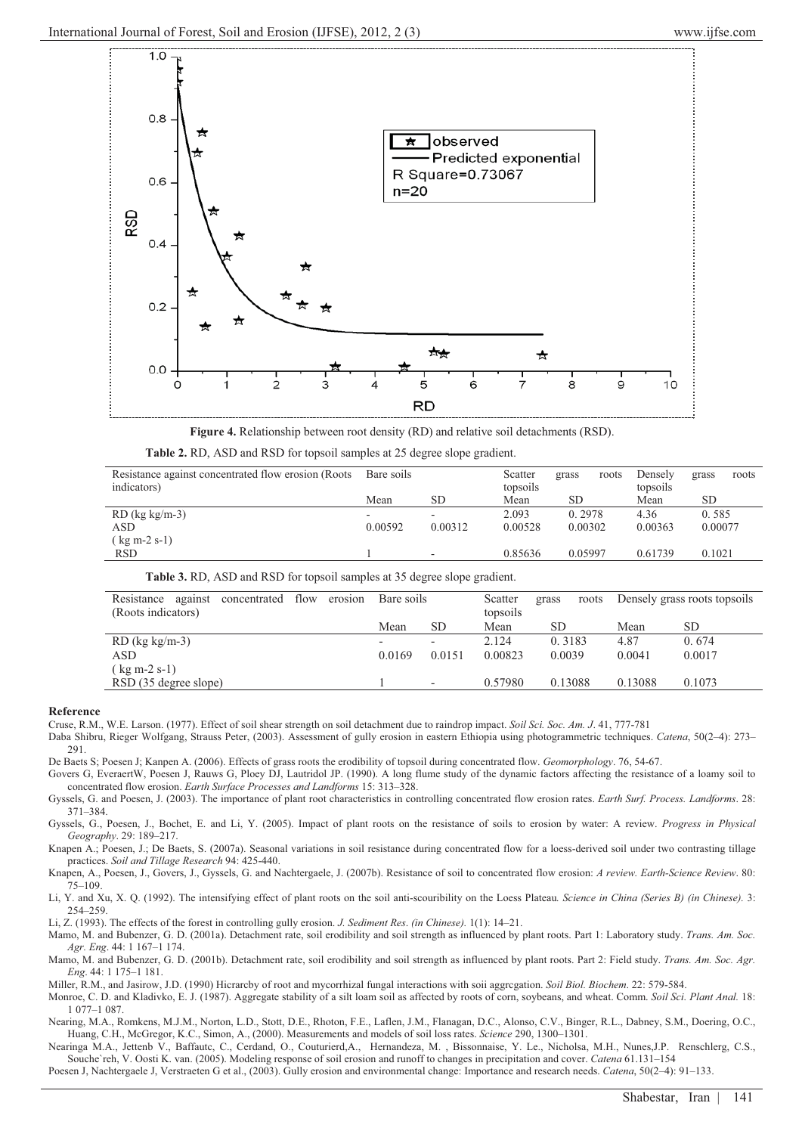

**Figure 4.** Relationship between root density (RD) and relative soil detachments (RSD).

| Table 2. RD, ASD and RSD for topsoil samples at 25 degree slope gradient. |  |  |
|---------------------------------------------------------------------------|--|--|
|---------------------------------------------------------------------------|--|--|

| Resistance against concentrated flow erosion (Roots)<br>indicators) | Bare soils |           | Scatter<br>topsoils | grass   | roots | Denselv<br>topsoils | grass   | roots |
|---------------------------------------------------------------------|------------|-----------|---------------------|---------|-------|---------------------|---------|-------|
|                                                                     | Mean       | <b>SD</b> | Mean                | SD      |       | Mean                | SD      |       |
| $RD$ (kg kg/m-3)                                                    |            | ۰.        | 2.093               | 0.2978  |       | 4.36                | 0.585   |       |
| ASD                                                                 | 0.00592    | 0.00312   | 0.00528             | 0.00302 |       | 0.00363             | 0.00077 |       |
| $(g m-2 s-1)$                                                       |            |           |                     |         |       |                     |         |       |
| <b>RSD</b>                                                          |            |           | 0.85636             | 0.05997 |       | 0.61739             | 0.1021  |       |

**Table 3.** RD, ASD and RSD for topsoil samples at 35 degree slope gradient.

| Resistance<br>flow<br>concentrated<br>erosion<br>against | Bare soils |                          | Scatter  | roots<br>grass | Densely grass roots topsoils |        |
|----------------------------------------------------------|------------|--------------------------|----------|----------------|------------------------------|--------|
| (Roots indicators)                                       |            |                          | topsoils |                |                              |        |
|                                                          | Mean       | SD.                      | Mean     | SD             | Mean                         | SD     |
| $RD$ (kg kg/m-3)                                         |            | $\overline{\phantom{0}}$ | 2.124    | 0.3183         | 4.87                         | 0.674  |
| ASD                                                      | 0.0169     | 0.0151                   | 0.00823  | 0.0039         | 0.0041                       | 0.0017 |
| $(g m-2 s-1)$                                            |            |                          |          |                |                              |        |
| RSD (35 degree slope)                                    |            | ٠                        | 0.57980  | 0.13088        | 0.13088                      | 0.1073 |

#### **Reference**

Cruse, R.M., W.E. Larson. (1977). Effect of soil shear strength on soil detachment due to raindrop impact. *Soil Sci. Soc. Am. J*. 41, 777-781

Daba Shibru, Rieger Wolfgang, Strauss Peter, (2003). Assessment of gully erosion in eastern Ethiopia using photogrammetric techniques. *Catena*, 50(2–4): 273– 291.

De Baets S; Poesen J; Kanpen A. (2006). Effects of grass roots the erodibility of topsoil during concentrated flow. *Geomorphology*. 76, 54-67.

Govers G, EveraertW, Poesen J, Rauws G, Ploey DJ, Lautridol JP. (1990). A long flume study of the dynamic factors affecting the resistance of a loamy soil to concentrated flow erosion. *Earth Surface Processes and Landforms* 15: 313–328.

Gyssels, G. and Poesen, J. (2003). The importance of plant root characteristics in controlling concentrated flow erosion rates. *Earth Surf. Process. Landforms*. 28: 371–384.

Gyssels, G., Poesen, J., Bochet, E. and Li, Y. (2005). Impact of plant roots on the resistance of soils to erosion by water: A review. *Progress in Physical Geography*. 29: 189–217.

Knapen A.; Poesen, J.; De Baets, S. (2007a). Seasonal variations in soil resistance during concentrated flow for a loess-derived soil under two contrasting tillage practices. *Soil and Tillage Research* 94: 425-440.

Knapen, A., Poesen, J., Govers, J., Gyssels, G. and Nachtergaele, J. (2007b). Resistance of soil to concentrated flow erosion: *A review. Earth-Science Review*. 80: 75–109.

Li, Y. and Xu, X. Q. (1992). The intensifying effect of plant roots on the soil anti-scouribility on the Loess Plateau*. Science in China (Series B) (in Chinese).* 3: 254–259.

Li, Z. (1993). The effects of the forest in controlling gully erosion. *J. Sediment Res*. *(in Chinese).* 1(1): 14–21.

Mamo, M. and Bubenzer, G. D. (2001a). Detachment rate, soil erodibility and soil strength as influenced by plant roots. Part 1: Laboratory study. *Trans. Am. Soc. Agr. Eng*. 44: 1 167–1 174.

Mamo, M. and Bubenzer, G. D. (2001b). Detachment rate, soil erodibility and soil strength as influenced by plant roots. Part 2: Field study. *Trans. Am. Soc. Agr. Eng*. 44: 1 175–1 181.

Miller, R.M., and Jasirow, J.D. (1990) Hicrarcby of root and mycorrhizal fungal interactions with soii aggrcgation. *Soil Biol. Biochem*. 22: 579-584.

Monroe, C. D. and Kladivko, E. J. (1987). Aggregate stability of a silt loam soil as affected by roots of corn, soybeans, and wheat. Comm. *Soil Sci. Plant Anal.* 18: 1 077–1 087.

Nearing, M.A., Romkens, M.J.M., Norton, L.D., Stott, D.E., Rhoton, F.E., Laflen, J.M., Flanagan, D.C., Alonso, C.V., Binger, R.L., Dabney, S.M., Doering, O.C., Huang, C.H., McGregor, K.C., Simon, A., (2000). Measurements and models of soil loss rates. *Science* 290, 1300–1301.

Nearinga M.A., Jettenb V., Baffautc, C., Cerdand, O., Couturierd,A., Hernandeza, M. , Bissonnaise, Y. Le., Nicholsa, M.H., Nunes,J.P. Renschlerg, C.S., Souche`reh, V. Oosti K. van. (2005). Modeling response of soil erosion and runoff to changes in precipitation and cover. *Catena* 61.131–154

Poesen J, Nachtergaele J, Verstraeten G et al., (2003). Gully erosion and environmental change: Importance and research needs. *Catena*, 50(2–4): 91–133.